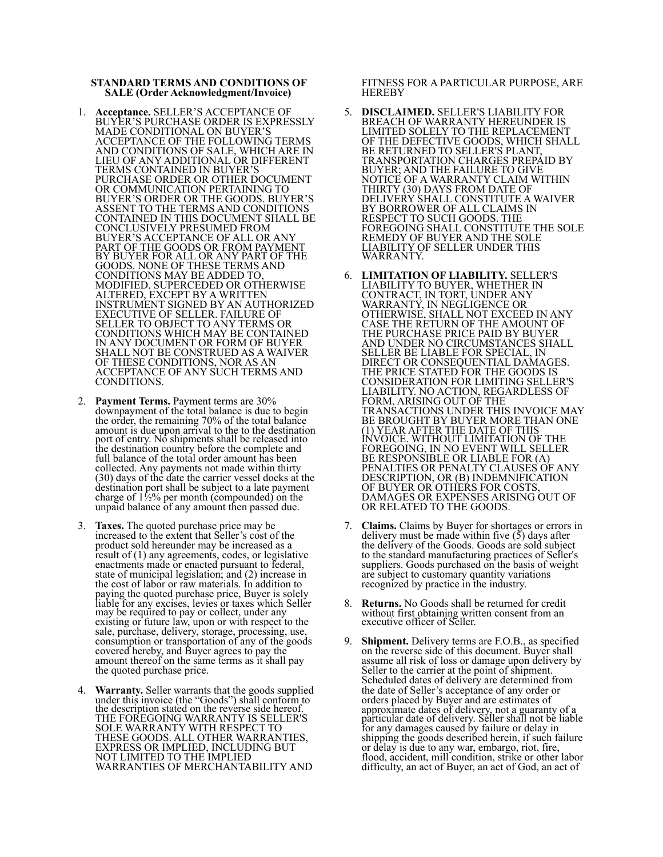## **STANDARD TERMS AND CONDITIONS OF SALE (Order Acknowledgment/Invoice)**

- 1. **Acceptance.** SELLER'S ACCEPTANCE OF BUYER'S PURCHASE ORDER IS EXPRESSLY MADE CONDITIONAL ON BUYER'S ACCEPTANCE OF THE FOLLOWING TERMS AND CONDITIONS OF SALE, WHICH ARE IN LIEU OF ANY ADDITIONAL OR DIFFERENT TERMS CONTAINED IN BUYER'S PURCHASE ORDER OR OTHER DOCUMENT OR COMMUNICATION PERTAINING TO BUYER'S ORDER OR THE GOODS. BUYER'S ASSENT TO THE TERMS AND CONDITIONS CONTAINED IN THIS DOCUMENT SHALL BE CONCLUSIVELY PRESUMED FROM BUYER'S ACCEPTANCE OF ALL OR ANY PART OF THE GOODS OR FROM PAYMENT BY BUYER FOR ALL OR ANY PART OF THE GOODS. NONE OF THESE TERMS AND CONDITIONS MAY BE ADDED TO, MODIFIED, SUPERCEDED OR OTHERWISE ALTERED, EXCEPT BY A WRITTEN INSTRUMENT SIGNED BY AN AUTHORIZED EXECUTIVE OF SELLER. FAILURE OF SELLER TO OBJECT TO ANY TERMS OR CONDITIONS WHICH MAY BE CONTAINED IN ANY DOCUMENT OR FORM OF BUYER SHALL NOT BE CONSTRUED AS A WAIVER OF THESE CONDITIONS, NOR AS AN ACCEPTANCE OF ANY SUCH TERMS AND CONDITIONS.
- 2. **Payment Terms.** Payment terms are 30% downpayment of the total balance is due to begin the order, the remaining 70% of the total balance amount is due upon arrival to the to the destination port of entry. No shipments shall be released into the destination country before the complete and full balance of the total order amount has been collected. Any payments not made within thirty (30) days of the date the carrier vessel docks at the destination port shall be subject to a late payment charge of 1½% per month (compounded) on the unpaid balance of any amount then passed due.
- 3. **Taxes.** The quoted purchase price may be increased to the extent that Seller's cost of the product sold hereunder may be increased as a result of (1) any agreements, codes, or legislative enactments made or enacted pursuant to federal, state of municipal legislation; and (2) increase in the cost of labor or raw materials. In addition to paying the quoted purchase price, Buyer is solely liable for any excises, levies or taxes which Seller may be required to pay or collect, under any existing or future law, upon or with respect to the sale, purchase, delivery, storage, processing, use, consumption or transportation of any of the goods covered hereby, and Buyer agrees to pay the amount thereof on the same terms as it shall pay the quoted purchase price.
- 4. **Warranty.** Seller warrants that the goods supplied under this invoice (the "Goods") shall conform to the description stated on the reverse side hereof. THE FOREGOING WARRANTY IS SELLER'S SOLE WARRANTY WITH RESPECT TO THESE GOODS. ALL OTHER WARRANTIES, EXPRESS OR IMPLIED, INCLUDING BUT NOT LIMITED TO THE IMPLIED WARRANTIES OF MERCHANTABILITY AND

FITNESS FOR A PARTICULAR PURPOSE, ARE **HEREBY** 

- 5. **DISCLAIMED.** SELLER'S LIABILITY FOR BREACH OF WARRANTY HEREUNDER IS LIMITED SOLELY TO THE REPLACEMENT OF THE DEFECTIVE GOODS, WHICH SHALL BE RETURNED TO SELLER'S PLANT, TRANSPORTATION CHARGES PREPAID BY BUYER; AND THE FAILURE TO GIVE NOTICE OF A WARRANTY CLAIM WITHIN THIRTY (30) DAYS FROM DATE OF DELIVERY SHALL CONSTITUTE A WAIVER BY BORROWER OF ALL CLAIMS IN RESPECT TO SUCH GOODS. THE FOREGOING SHALL CONSTITUTE THE SOLE REMEDY OF BUYER AND THE SOLE LIABILITY OF SELLER UNDER THIS WARRANTY.
- 6. **LIMITATION OF LIABILITY.** SELLER'S LIABILITY TO BUYER, WHETHER IN CONTRACT, IN TORT, UNDER ANY WARRANTY, IN NEGLIGENCE OR OTHERWISE, SHALL NOT EXCEED IN ANY CASE THE RETURN OF THE AMOUNT OF THE PURCHASE PRICE PAID BY BUYER AND UNDER NO CIRCUMSTANCES SHALL SELLER BE LIABLE FOR SPECIAL, IN DIRECT OR CONSEQUENTIAL DAMAGES. THE PRICE STATED FOR THE GOODS IS CONSIDERATION FOR LIMITING SELLER'S LIABILITY. NO ACTION, REGARDLESS OF FORM, ARISING OUT OF THE TRANSACTIONS UNDER THIS INVOICE MAY BE BROUGHT BY BUYER MORE THAN ONE (1) YEAR AFTER THE DATE OF THIS INVOICE. WITHOUT LIMITATION OF THE FOREGOING, IN NO EVENT WILL SELLER BE RESPONSIBLE OR LIABLE FOR (A) PENALTIES OR PENALTY CLAUSES OF ANY DESCRIPTION, OR (B) INDEMNIFICATION OF BUYER OR OTHERS FOR COSTS, DAMAGES OR EXPENSES ARISING OUT OF OR RELATED TO THE GOODS.
- 7. **Claims.** Claims by Buyer for shortages or errors in delivery must be made within five (5) days after the delivery of the Goods. Goods are sold subject to the standard manufacturing practices of Seller's suppliers. Goods purchased on the basis of weight are subject to customary quantity variations recognized by practice in the industry.
- 8. **Returns.** No Goods shall be returned for credit without first obtaining written consent from an executive officer of Seller.
- 9. **Shipment.** Delivery terms are F.O.B., as specified on the reverse side of this document. Buyer shall assume all risk of loss or damage upon delivery by Seller to the carrier at the point of shipment. Scheduled dates of delivery are determined from the date of Seller's acceptance of any order or orders placed by Buyer and are estimates of approximate dates of delivery, not a guaranty of a particular date of delivery. Seller shall not be liable for any damages caused by failure or delay in shipping the goods described herein, if such failure or delay is due to any war, embargo, riot, fire, flood, accident, mill condition, strike or other labor difficulty, an act of Buyer, an act of God, an act of